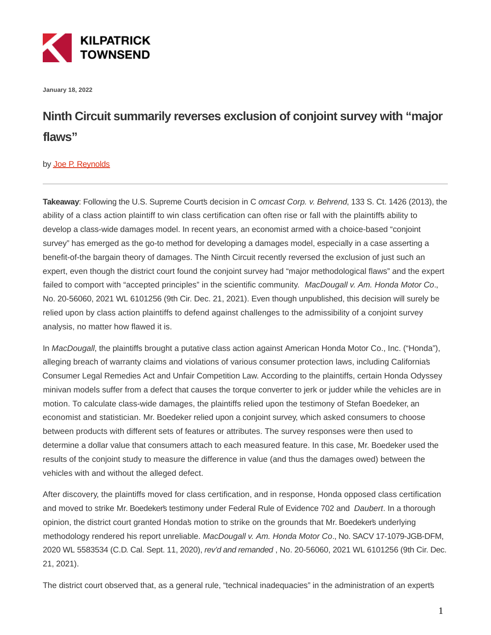

**January 18, 2022**

## **Ninth Circuit summarily reverses exclusion of conjoint survey with "major flaws"**

## by [Joe P. Reynolds](https://kilpatricktownsend.com/People/R/ReynoldsJoeP)

**Takeaway**: Following the U.S. Supreme Court's decision in C omcast Corp. v. Behrend, 133 S. Ct. 1426 (2013), the ability of a class action plaintiff to win class certification can often rise or fall with the plaintiff's ability to develop a class-wide damages model. In recent years, an economist armed with a choice-based "conjoint survey" has emerged as the go-to method for developing a damages model, especially in a case asserting a benefit-of-the bargain theory of damages. The Ninth Circuit recently reversed the exclusion of just such an expert, even though the district court found the conjoint survey had "major methodological flaws" and the expert failed to comport with "accepted principles" in the scientific community. MacDougall v. Am. Honda Motor Co., No. 20-56060, 2021 WL 6101256 (9th Cir. Dec. 21, 2021). Even though unpublished, this decision will surely be relied upon by class action plaintiffs to defend against challenges to the admissibility of a conjoint survey analysis, no matter how flawed it is.

In MacDougall, the plaintiffs brought a putative class action against American Honda Motor Co., Inc. ("Honda"), alleging breach of warranty claims and violations of various consumer protection laws, including California's Consumer Legal Remedies Act and Unfair Competition Law. According to the plaintiffs, certain Honda Odyssey minivan models suffer from a defect that causes the torque converter to jerk or judder while the vehicles are in motion. To calculate class-wide damages, the plaintiffs relied upon the testimony of Stefan Boedeker, an economist and statistician. Mr. Boedeker relied upon a conjoint survey, which asked consumers to choose between products with different sets of features or attributes. The survey responses were then used to determine a dollar value that consumers attach to each measured feature. In this case, Mr. Boedeker used the results of the conjoint study to measure the difference in value (and thus the damages owed) between the vehicles with and without the alleged defect.

After discovery, the plaintiffs moved for class certification, and in response, Honda opposed class certification and moved to strike Mr. Boedeker's testimony under Federal Rule of Evidence 702 and Daubert. In a thorough opinion, the district court granted Honda's motion to strike on the grounds that Mr. Boedeker's underlying methodology rendered his report unreliable. MacDougall v. Am. Honda Motor Co., No. SACV 17-1079-JGB-DFM, 2020 WL 5583534 (C.D. Cal. Sept. 11, 2020), rev'd and remanded , No. 20-56060, 2021 WL 6101256 (9th Cir. Dec. 21, 2021).

The district court observed that, as a general rule, "technical inadequacies" in the administration of an experts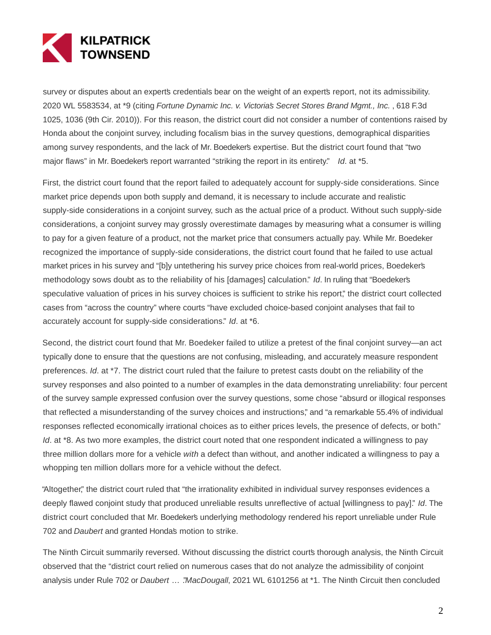

survey or disputes about an experts credentials bear on the weight of an experts report, not its admissibility. 2020 WL 5583534, at \*9 (citing Fortune Dynamic Inc. v. Victoria's Secret Stores Brand Mgmt., Inc., 618 F.3d 1025, 1036 (9th Cir. 2010)). For this reason, the district court did not consider a number of contentions raised by Honda about the conjoint survey, including focalism bias in the survey questions, demographical disparities among survey respondents, and the lack of Mr. Boedeker's expertise. But the district court found that "two major flaws" in Mr. Boedeker's report warranted "striking the report in its entirety." Id. at \*5.

First, the district court found that the report failed to adequately account for supply-side considerations. Since market price depends upon both supply and demand, it is necessary to include accurate and realistic supply-side considerations in a conjoint survey, such as the actual price of a product. Without such supply-side considerations, a conjoint survey may grossly overestimate damages by measuring what a consumer is willing to pay for a given feature of a product, not the market price that consumers actually pay. While Mr. Boedeker recognized the importance of supply-side considerations, the district court found that he failed to use actual market prices in his survey and "[b]y untethering his survey price choices from real-world prices, Boedeker's methodology sows doubt as to the reliability of his [damages] calculation." Id. In ruling that "Boedeker's speculative valuation of prices in his survey choices is sufficient to strike his report," the district court collected cases from "across the country" where courts "have excluded choice-based conjoint analyses that fail to accurately account for supply-side considerations." Id. at \*6.

Second, the district court found that Mr. Boedeker failed to utilize a pretest of the final conjoint survey—an act typically done to ensure that the questions are not confusing, misleading, and accurately measure respondent preferences. Id. at \*7. The district court ruled that the failure to pretest casts doubt on the reliability of the survey responses and also pointed to a number of examples in the data demonstrating unreliability: four percent of the survey sample expressed confusion over the survey questions, some chose "absurd or illogical responses that reflected a misunderstanding of the survey choices and instructions," and "a remarkable 55.4% of individual responses reflected economically irrational choices as to either prices levels, the presence of defects, or both." Id. at \*8. As two more examples, the district court noted that one respondent indicated a willingness to pay three million dollars more for a vehicle with a defect than without, and another indicated a willingness to pay a whopping ten million dollars more for a vehicle without the defect.

"Altogether," the district court ruled that "the irrationality exhibited in individual survey responses evidences a deeply flawed conjoint study that produced unreliable results unreflective of actual [willingness to pay]." Id. The district court concluded that Mr. Boedeker's underlying methodology rendered his report unreliable under Rule 702 and Daubert and granted Honda's motion to strike.

The Ninth Circuit summarily reversed. Without discussing the district courts thorough analysis, the Ninth Circuit observed that the "district court relied on numerous cases that do not analyze the admissibility of conjoint analysis under Rule 702 or Daubert ... "MacDougall, 2021 WL 6101256 at \*1. The Ninth Circuit then concluded